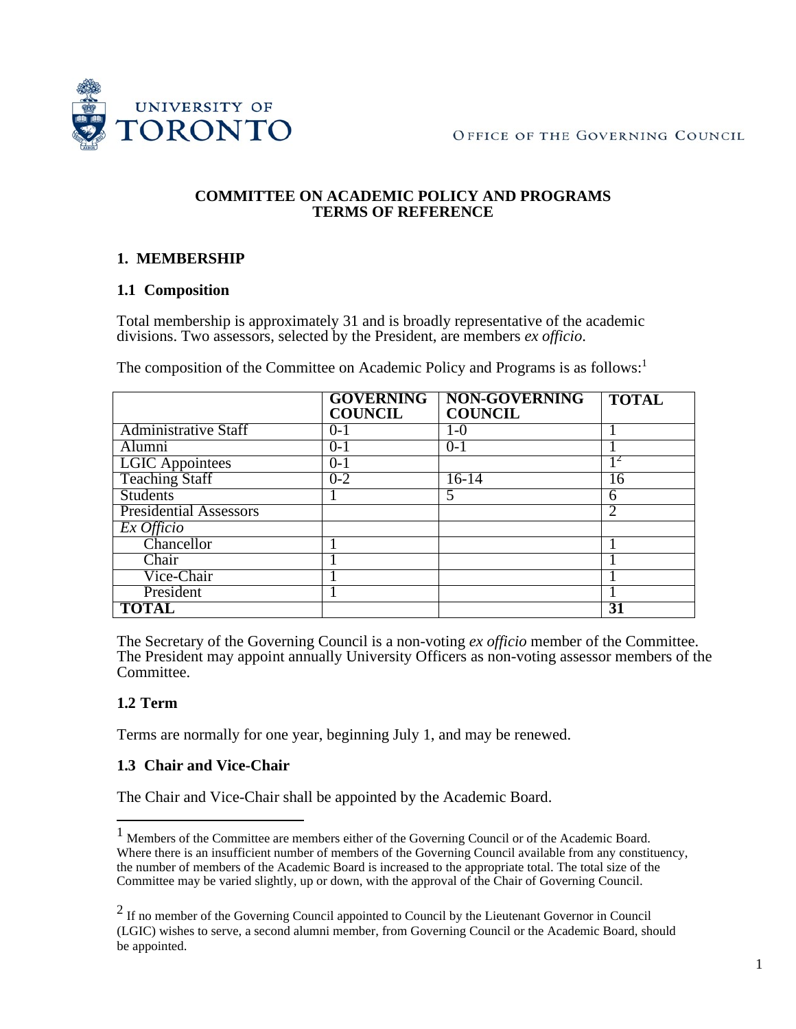

#### **COMMITTEE ON ACADEMIC POLICY AND PROGRAMS TERMS OF REFERENCE**

## **1. MEMBERSHIP**

### **1.1 Composition**

Total membership is approximately 31 and is broadly representative of the academic divisions. Two assessors, selected by the President, are members *ex officio*.

The composition of the Committee on Academic Policy and Programs is as follows:<sup>[1](#page-0-0)</sup>

|                               | <b>GOVERNING</b><br><b>COUNCIL</b> | <b>NON-GOVERNING</b><br><b>COUNCIL</b> | <b>TOTAL</b>                |
|-------------------------------|------------------------------------|----------------------------------------|-----------------------------|
| <b>Administrative Staff</b>   | $0 - 1$                            | $1-0$                                  |                             |
| Alumni                        | $0-1$                              | $0-1$                                  |                             |
| <b>LGIC</b> Appointees        | $() - 1$                           |                                        |                             |
| <b>Teaching Staff</b>         | $0 - 2$                            | $16-14$                                | 16                          |
| <b>Students</b>               |                                    | 5                                      | 6                           |
| <b>Presidential Assessors</b> |                                    |                                        | $\mathcal{D}_{\mathcal{L}}$ |
| Ex Officio                    |                                    |                                        |                             |
| Chancellor                    |                                    |                                        |                             |
| Chair                         |                                    |                                        |                             |
| Vice-Chair                    |                                    |                                        |                             |
| President                     |                                    |                                        |                             |
| <b>TOTAL</b>                  |                                    |                                        | 31                          |

The Secretary of the Governing Council is a non-voting *ex officio* member of the Committee. The President may appoint annually University Officers as non-voting assessor members of the Committee.

## **1.2 Term**

Terms are normally for one year, beginning July 1, and may be renewed.

### **1.3 Chair and Vice-Chair**

The Chair and Vice-Chair shall be appointed by the Academic Board.

<span id="page-0-0"></span><sup>1</sup> Members of the Committee are members either of the Governing Council or of the Academic Board. Where there is an insufficient number of members of the Governing Council available from any constituency, the number of members of the Academic Board is increased to the appropriate total. The total size of the Committee may be varied slightly, up or down, with the approval of the Chair of Governing Council.

<span id="page-0-1"></span> $2$  If no member of the Governing Council appointed to Council by the Lieutenant Governor in Council (LGIC) wishes to serve, a second alumni member, from Governing Council or the Academic Board, should be appointed.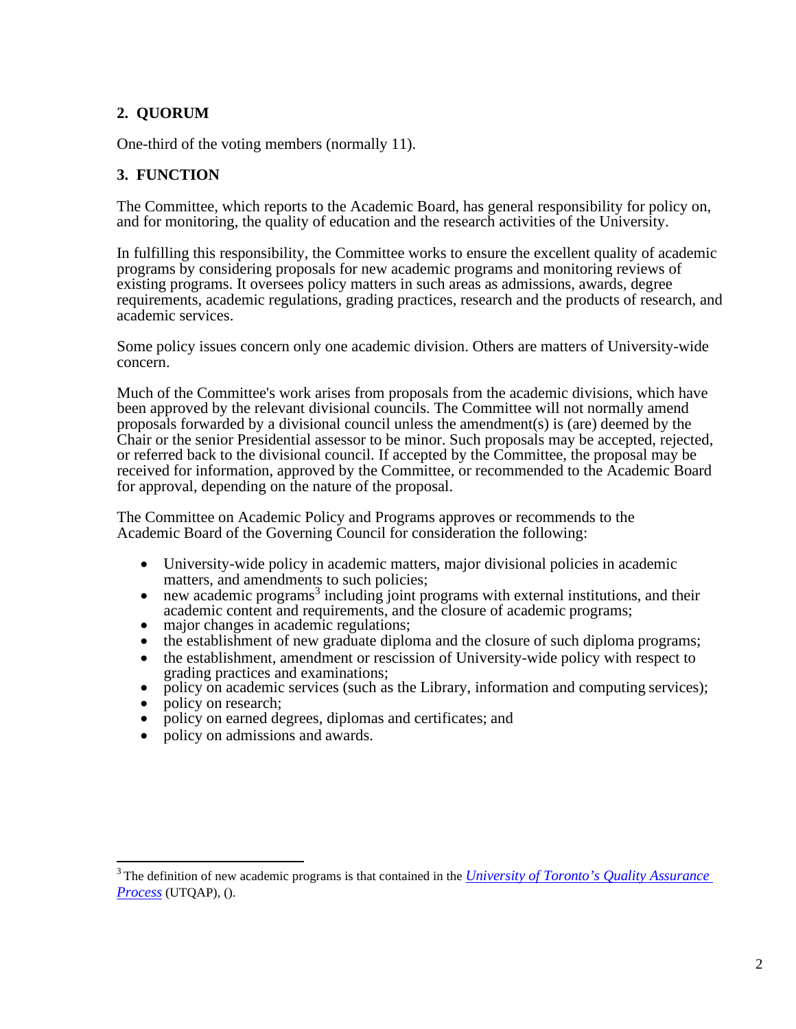# **2. QUORUM**

One-third of the voting members (normally 11).

## **3. FUNCTION**

The Committee, which reports to the Academic Board, has general responsibility for policy on, and for monitoring, the quality of education and the research activities of the University.

In fulfilling this responsibility, the Committee works to ensure the excellent quality of academic programs by considering proposals for new academic programs and monitoring reviews of existing programs. It oversees policy matters in such areas as admissions, awards, degree requirements, academic regulations, grading practices, research and the products of research, and academic services.

Some policy issues concern only one academic division. Others are matters of University-wide concern.

Much of the Committee's work arises from proposals from the academic divisions, which have been approved by the relevant divisional councils. The Committee will not normally amend proposals forwarded by a divisional council unless the amendment(s) is (are) deemed by the Chair or the senior Presidential assessor to be minor. Such proposals may be accepted, rejected, or referred back to the divisional council. If accepted by the Committee, the proposal may be received for information, approved by the Committee, or recommended to the Academic Board for approval, depending on the nature of the proposal.

The Committee on Academic Policy and Programs approves or recommends to the Academic Board of the Governing Council for consideration the following:

- University-wide policy in academic matters, major divisional policies in academic
- $\bullet$  new academic programs<sup>[3](#page-1-0)</sup> including joint programs with external institutions, and their academic content and requirements, and the closure of academic programs;
- 
- major changes in academic regulations;<br>• the establishment of new graduate diploma and the closure of such diploma programs;
- the establishment, amendment or rescission of University-wide policy with respect to grading practices and examinations:
- policy on academic services (such as the Library, information and computing services); policy on research;
- 
- policy on earned degrees, diplomas and certificates; and
- policy on admissions and awards.

<span id="page-1-0"></span><sup>3</sup> The definition of new academic programs is that contained in the *[University of Toronto's Quality Assurance](https://www.vpacademic.utoronto.ca/wp-content/uploads/sites/225/2019/09/utqap-2019.pdf)  [Process](https://www.vpacademic.utoronto.ca/wp-content/uploads/sites/225/2019/09/utqap-2019.pdf)* (UTQAP), [\(\).](http://www.vpacademic.utoronto.ca/Assets/VP%2BAcademic%2BDigital%2BAssets/pdf/UTQAP%2Bdocument.pdf))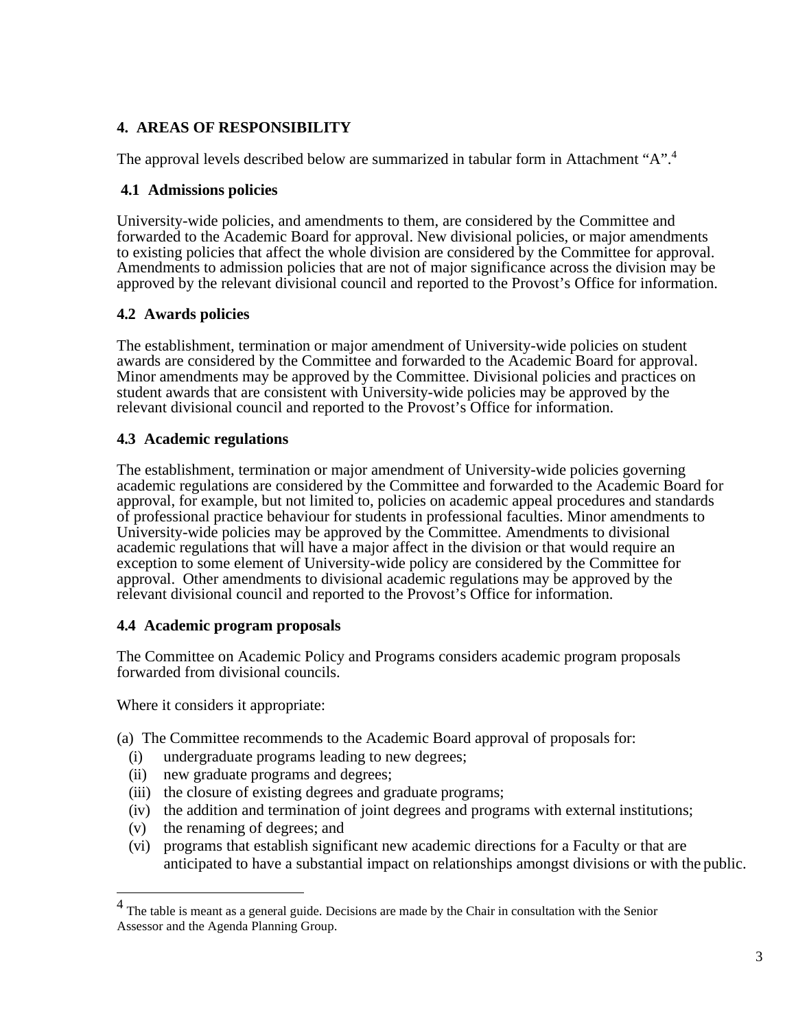# **4. AREAS OF RESPONSIBILITY**

The approval levels described below are summarized in tabular form in Attachment "A".<sup>[4](#page-2-0)</sup>

### **4.1 Admissions policies**

University-wide policies, and amendments to them, are considered by the Committee and forwarded to the Academic Board for approval. New divisional policies, or major amendments to existing policies that affect the whole division are considered by the Committee for approval. Amendments to admission policies that are not of major significance across the division may be approved by the relevant divisional council and reported to the Provost's Office for information.

### **4.2 Awards policies**

The establishment, termination or major amendment of University-wide policies on student awards are considered by the Committee and forwarded to the Academic Board for approval. Minor amendments may be approved by the Committee. Divisional policies and practices on student awards that are consistent with University-wide policies may be approved by the relevant divisional council and reported to the Provost's Office for information.

### **4.3 Academic regulations**

The establishment, termination or major amendment of University-wide policies governing academic regulations are considered by the Committee and forwarded to the Academic Board for approval, for example, but not limited to, policies on academic appeal procedures and standards of professional practice behaviour for students in professional faculties. Minor amendments to University-wide policies may be approved by the Committee. Amendments to divisional academic regulations that will have a major affect in the division or that would require an exception to some element of University-wide policy are considered by the Committee for approval. Other amendments to divisional academic regulations may be approved by the relevant divisional council and reported to the Provost's Office for information.

### **4.4 Academic program proposals**

The Committee on Academic Policy and Programs considers academic program proposals forwarded from divisional councils.

Where it considers it appropriate:

(a) The Committee recommends to the Academic Board approval of proposals for:

- (i) undergraduate programs leading to new degrees;
- (ii) new graduate programs and degrees;
- (iii) the closure of existing degrees and graduate programs;
- (iv) the addition and termination of joint degrees and programs with external institutions;
- (v) the renaming of degrees; and
- (vi) programs that establish significant new academic directions for a Faculty or that are anticipated to have a substantial impact on relationships amongst divisions or with the public.

<span id="page-2-0"></span><sup>4</sup> The table is meant as a general guide. Decisions are made by the Chair in consultation with the Senior Assessor and the Agenda Planning Group.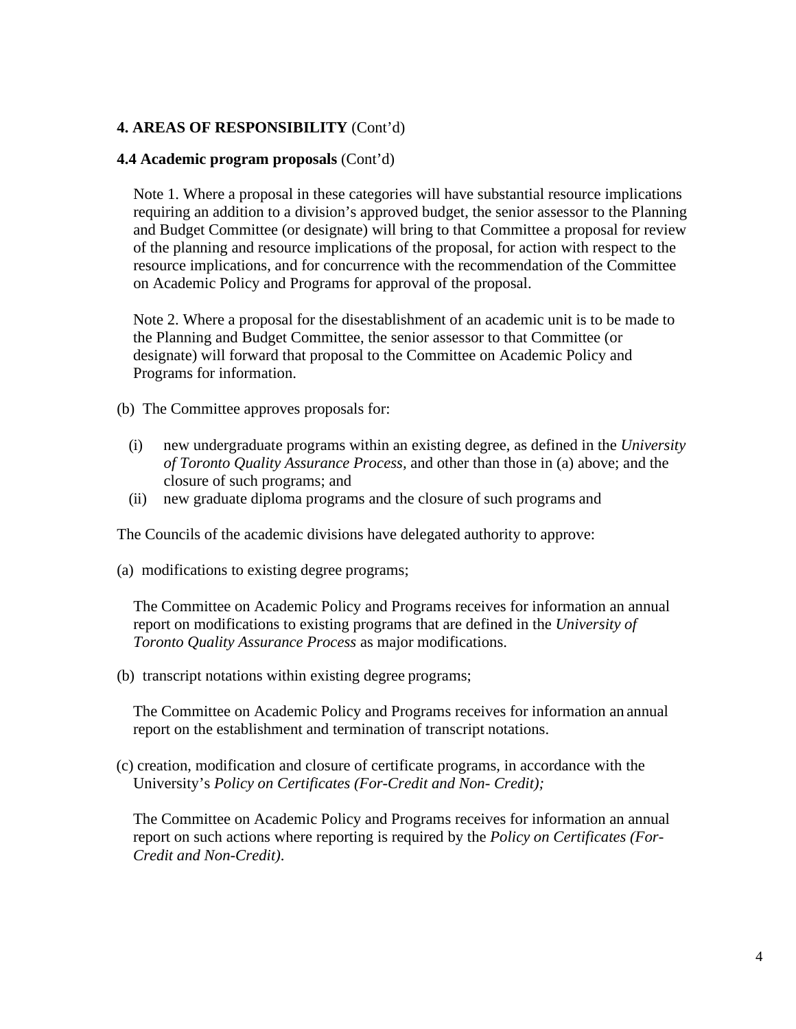### **4. AREAS OF RESPONSIBILITY** (Cont'd)

#### **4.4 Academic program proposals** (Cont'd)

Note 1. Where a proposal in these categories will have substantial resource implications requiring an addition to a division's approved budget, the senior assessor to the Planning and Budget Committee (or designate) will bring to that Committee a proposal for review of the planning and resource implications of the proposal, for action with respect to the resource implications, and for concurrence with the recommendation of the Committee on Academic Policy and Programs for approval of the proposal.

Note 2. Where a proposal for the disestablishment of an academic unit is to be made to the Planning and Budget Committee, the senior assessor to that Committee (or designate) will forward that proposal to the Committee on Academic Policy and Programs for information.

(b) The Committee approves proposals for:

- (i) new undergraduate programs within an existing degree, as defined in the *University of Toronto Quality Assurance Process,* and other than those in (a) above; and the closure of such programs; and
- (ii) new graduate diploma programs and the closure of such programs and

The Councils of the academic divisions have delegated authority to approve:

(a) modifications to existing degree programs;

The Committee on Academic Policy and Programs receives for information an annual report on modifications to existing programs that are defined in the *University of Toronto Quality Assurance Process* as major modifications.

(b) transcript notations within existing degree programs;

The Committee on Academic Policy and Programs receives for information an annual report on the establishment and termination of transcript notations.

(c) creation, modification and closure of certificate programs, in accordance with the University's *Policy on Certificates (For-Credit and Non- Credit);*

The Committee on Academic Policy and Programs receives for information an annual report on such actions where reporting is required by the *Policy on Certificates (For-Credit and Non-Credit)*.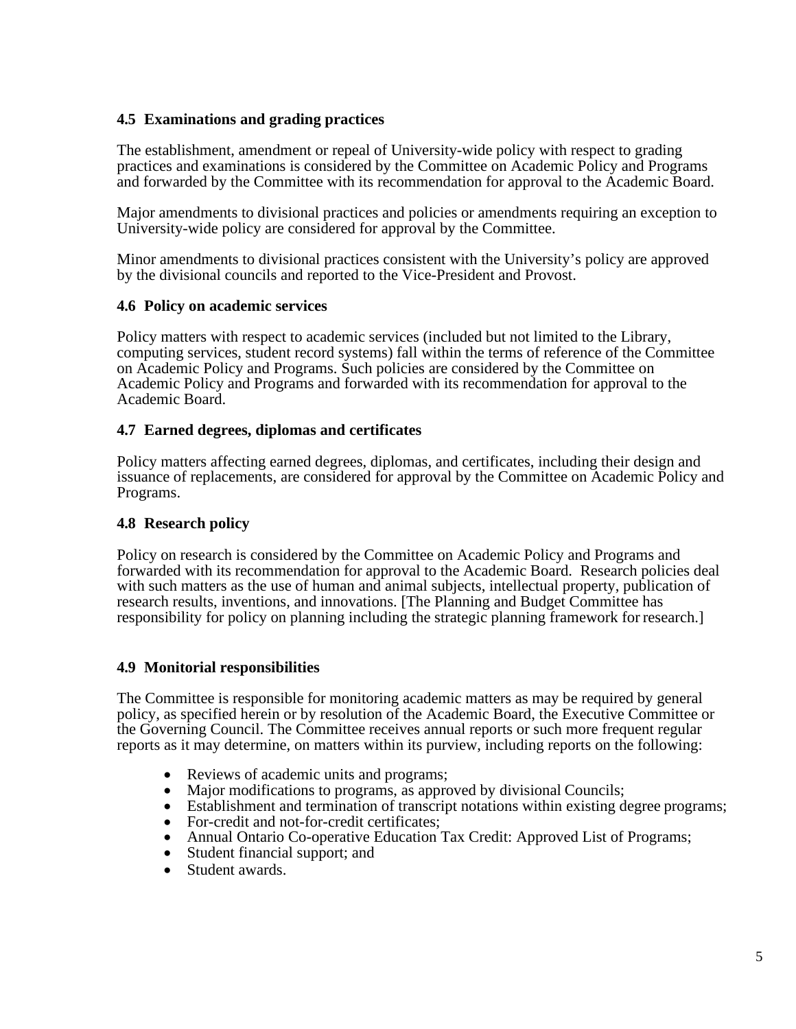## **4.5 Examinations and grading practices**

The establishment, amendment or repeal of University-wide policy with respect to grading practices and examinations is considered by the Committee on Academic Policy and Programs and forwarded by the Committee with its recommendation for approval to the Academic Board.

Major amendments to divisional practices and policies or amendments requiring an exception to University-wide policy are considered for approval by the Committee.

Minor amendments to divisional practices consistent with the University's policy are approved by the divisional councils and reported to the Vice-President and Provost.

#### **4.6 Policy on academic services**

Policy matters with respect to academic services (included but not limited to the Library, computing services, student record systems) fall within the terms of reference of the Committee on Academic Policy and Programs. Such policies are considered by the Committee on Academic Policy and Programs and forwarded with its recommendation for approval to the Academic Board.

#### **4.7 Earned degrees, diplomas and certificates**

Policy matters affecting earned degrees, diplomas, and certificates, including their design and issuance of replacements, are considered for approval by the Committee on Academic Policy and Programs.

### **4.8 Research policy**

Policy on research is considered by the Committee on Academic Policy and Programs and forwarded with its recommendation for approval to the Academic Board. Research policies deal with such matters as the use of human and animal subjects, intellectual property, publication of research results, inventions, and innovations. [The Planning and Budget Committee has responsibility for policy on planning including the strategic planning framework for research.]

### **4.9 Monitorial responsibilities**

The Committee is responsible for monitoring academic matters as may be required by general policy, as specified herein or by resolution of the Academic Board, the Executive Committee or the Governing Council. The Committee receives annual reports or such more frequent regular reports as it may determine, on matters within its purview, including reports on the following:

- Reviews of academic units and programs:
- Major modifications to programs, as approved by divisional Councils;
- Establishment and termination of transcript notations within existing degree programs;
- For-credit and not-for-credit certificates;
- Annual Ontario Co-operative Education Tax Credit: Approved List of Programs;<br>• Student financial support: and
- Student financial support; and
- Student awards.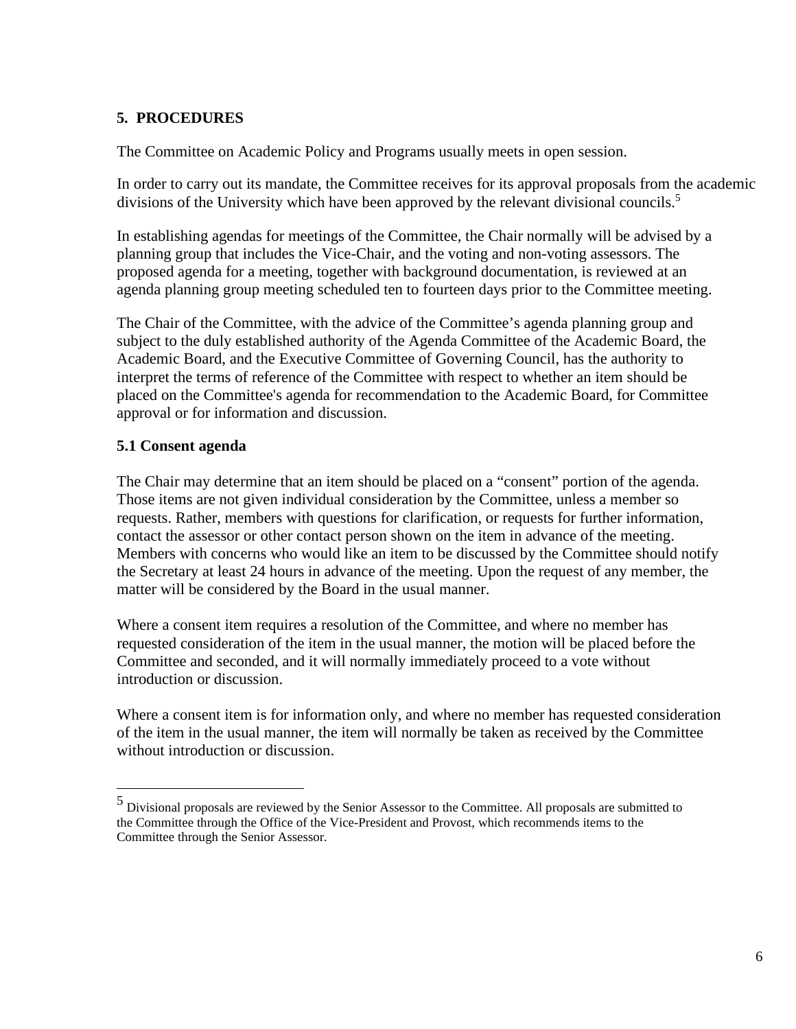## **5. PROCEDURES**

The Committee on Academic Policy and Programs usually meets in open session.

In order to carry out its mandate, the Committee receives for its approval proposals from the academic divisions of the University which have been approved by the relevant divisional councils.<sup>5</sup>

In establishing agendas for meetings of the Committee, the Chair normally will be advised by a planning group that includes the Vice-Chair, and the voting and non-voting assessors. The proposed agenda for a meeting, together with background documentation, is reviewed at an agenda planning group meeting scheduled ten to fourteen days prior to the Committee meeting.

The Chair of the Committee, with the advice of the Committee's agenda planning group and subject to the duly established authority of the Agenda Committee of the Academic Board, the Academic Board, and the Executive Committee of Governing Council, has the authority to interpret the terms of reference of the Committee with respect to whether an item should be placed on the Committee's agenda for recommendation to the Academic Board, for Committee approval or for information and discussion.

# **5.1 Consent agenda**

The Chair may determine that an item should be placed on a "consent" portion of the agenda. Those items are not given individual consideration by the Committee, unless a member so requests. Rather, members with questions for clarification, or requests for further information, contact the assessor or other contact person shown on the item in advance of the meeting. Members with concerns who would like an item to be discussed by the Committee should notify the Secretary at least 24 hours in advance of the meeting. Upon the request of any member, the matter will be considered by the Board in the usual manner.

Where a consent item requires a resolution of the Committee, and where no member has requested consideration of the item in the usual manner, the motion will be placed before the Committee and seconded, and it will normally immediately proceed to a vote without introduction or discussion.

Where a consent item is for information only, and where no member has requested consideration of the item in the usual manner, the item will normally be taken as received by the Committee without introduction or discussion.

<span id="page-5-0"></span><sup>5</sup> Divisional proposals are reviewed by the Senior Assessor to the Committee. All proposals are submitted to the Committee through the Office of the Vice-President and Provost, which recommends items to the Committee through the Senior Assessor.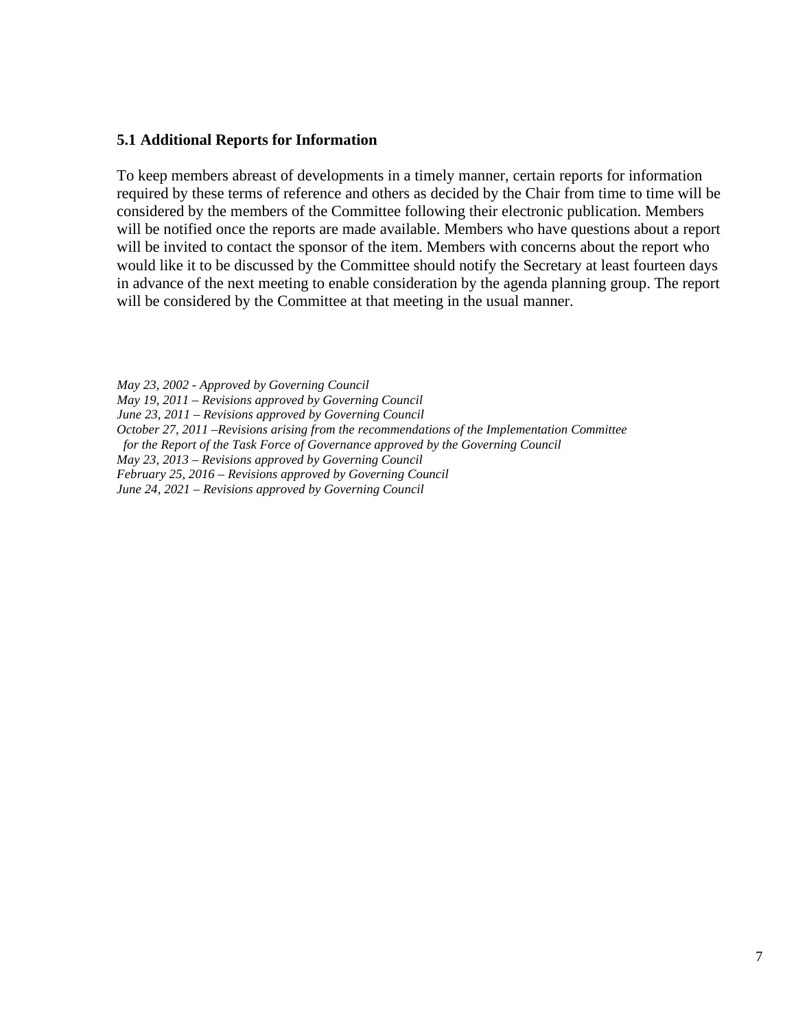#### **5.1 Additional Reports for Information**

To keep members abreast of developments in a timely manner, certain reports for information required by these terms of reference and others as decided by the Chair from time to time will be considered by the members of the Committee following their electronic publication. Members will be notified once the reports are made available. Members who have questions about a report will be invited to contact the sponsor of the item. Members with concerns about the report who would like it to be discussed by the Committee should notify the Secretary at least fourteen days in advance of the next meeting to enable consideration by the agenda planning group. The report will be considered by the Committee at that meeting in the usual manner.

*May 23, 2002 - Approved by Governing Council May 19, 2011 – Revisions approved by Governing Council June 23, 2011 – Revisions approved by Governing Council October 27, 2011 –Revisions arising from the recommendations of the Implementation Committee for the Report of the Task Force of Governance approved by the Governing Council May 23, 2013 – Revisions approved by Governing Council February 25, 2016 – Revisions approved by Governing Council June 24, 2021 – Revisions approved by Governing Council*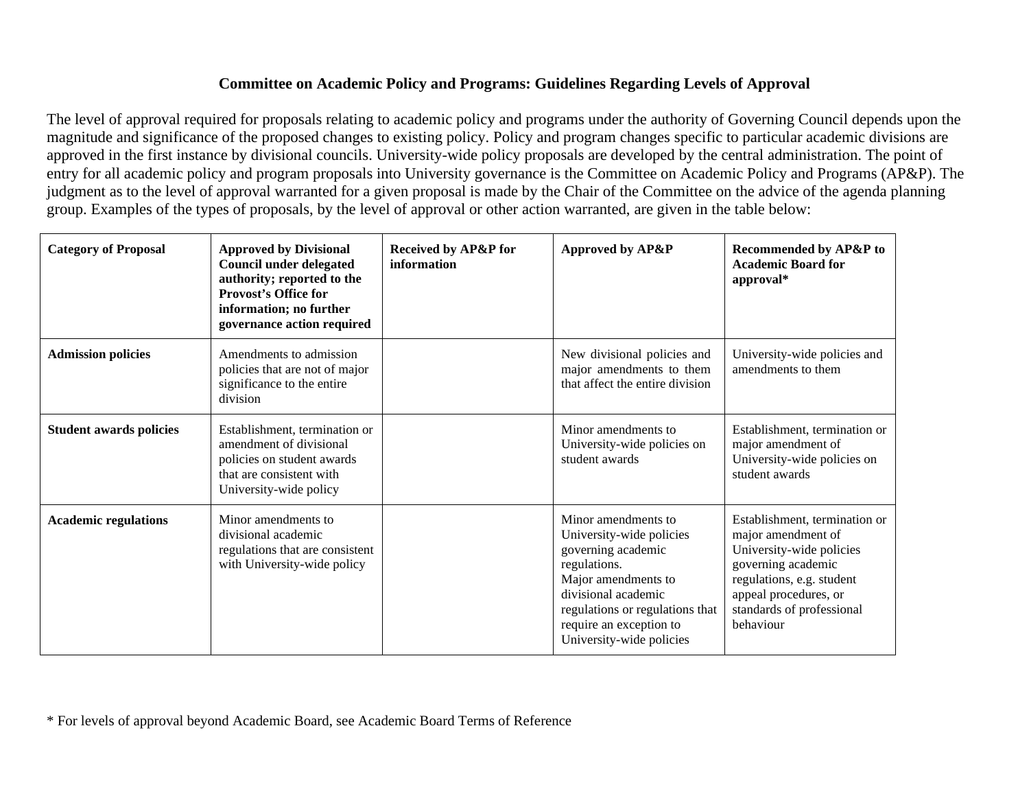# **Committee on Academic Policy and Programs: Guidelines Regarding Levels of Approval**

The level of approval required for proposals relating to academic policy and programs under the authority of Governing Council depends upon the magnitude and significance of the proposed changes to existing policy. Policy and program changes specific to particular academic divisions are approved in the first instance by divisional councils. University-wide policy proposals are developed by the central administration. The point of entry for all academic policy and program proposals into University governance is the Committee on Academic Policy and Programs (AP&P). The judgment as to the level of approval warranted for a given proposal is made by the Chair of the Committee on the advice of the agenda planning group. Examples of the types of proposals, by the level of approval or other action warranted, are given in the table below:

| <b>Category of Proposal</b>    | <b>Approved by Divisional</b><br><b>Council under delegated</b><br>authority; reported to the<br><b>Provost's Office for</b><br>information; no further<br>governance action required | Received by AP&P for<br>information | Approved by AP&P                                                                                                                                                                                                              | <b>Recommended by AP&amp;P to</b><br><b>Academic Board for</b><br>approval*                                                                                                                           |
|--------------------------------|---------------------------------------------------------------------------------------------------------------------------------------------------------------------------------------|-------------------------------------|-------------------------------------------------------------------------------------------------------------------------------------------------------------------------------------------------------------------------------|-------------------------------------------------------------------------------------------------------------------------------------------------------------------------------------------------------|
| <b>Admission policies</b>      | Amendments to admission<br>policies that are not of major<br>significance to the entire<br>division                                                                                   |                                     | New divisional policies and<br>major amendments to them<br>that affect the entire division                                                                                                                                    | University-wide policies and<br>amendments to them                                                                                                                                                    |
| <b>Student awards policies</b> | Establishment, termination or<br>amendment of divisional<br>policies on student awards<br>that are consistent with<br>University-wide policy                                          |                                     | Minor amendments to<br>University-wide policies on<br>student awards                                                                                                                                                          | Establishment, termination or<br>major amendment of<br>University-wide policies on<br>student awards                                                                                                  |
| <b>Academic regulations</b>    | Minor amendments to<br>divisional academic<br>regulations that are consistent<br>with University-wide policy                                                                          |                                     | Minor amendments to<br>University-wide policies<br>governing academic<br>regulations.<br>Major amendments to<br>divisional academic<br>regulations or regulations that<br>require an exception to<br>University-wide policies | Establishment, termination or<br>major amendment of<br>University-wide policies<br>governing academic<br>regulations, e.g. student<br>appeal procedures, or<br>standards of professional<br>behaviour |

\* For levels of approval beyond Academic Board, see Academic Board Terms of Reference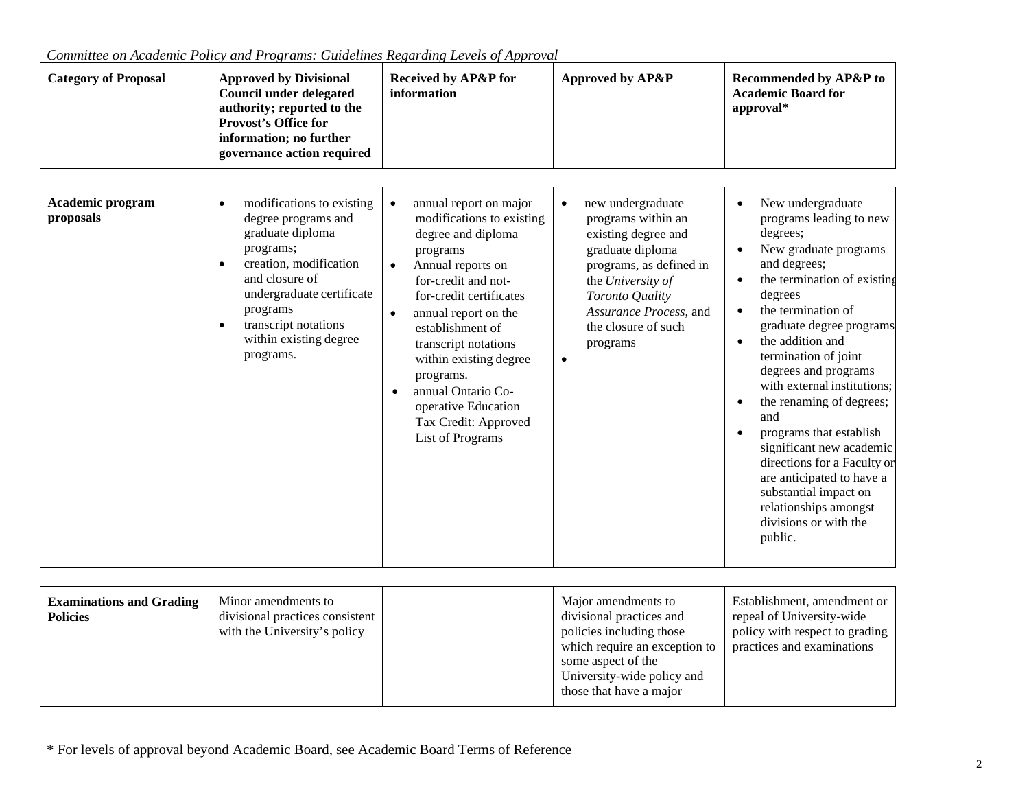| <b>Category of Proposal</b>          | <b>Approved by Divisional</b><br><b>Council under delegated</b><br>authority; reported to the<br><b>Provost's Office for</b><br>information; no further<br>governance action required                                                              | <b>Received by AP&amp;P for</b><br>information                                                                                                                                                                                                                                                                                                                                | Approved by AP&P                                                                                                                                                                                                   | Recommended by AP&P to<br><b>Academic Board for</b><br>approval*                                                                                                                                                                                                                                                                                                                                                                                                                                                                             |
|--------------------------------------|----------------------------------------------------------------------------------------------------------------------------------------------------------------------------------------------------------------------------------------------------|-------------------------------------------------------------------------------------------------------------------------------------------------------------------------------------------------------------------------------------------------------------------------------------------------------------------------------------------------------------------------------|--------------------------------------------------------------------------------------------------------------------------------------------------------------------------------------------------------------------|----------------------------------------------------------------------------------------------------------------------------------------------------------------------------------------------------------------------------------------------------------------------------------------------------------------------------------------------------------------------------------------------------------------------------------------------------------------------------------------------------------------------------------------------|
| <b>Academic program</b><br>proposals | modifications to existing<br>$\bullet$<br>degree programs and<br>graduate diploma<br>programs;<br>creation, modification<br>and closure of<br>undergraduate certificate<br>programs<br>transcript notations<br>within existing degree<br>programs. | annual report on major<br>modifications to existing<br>degree and diploma<br>programs<br>Annual reports on<br>for-credit and not-<br>for-credit certificates<br>annual report on the<br>$\bullet$<br>establishment of<br>transcript notations<br>within existing degree<br>programs.<br>annual Ontario Co-<br>operative Education<br>Tax Credit: Approved<br>List of Programs | new undergraduate<br>programs within an<br>existing degree and<br>graduate diploma<br>programs, as defined in<br>the University of<br>Toronto Quality<br>Assurance Process, and<br>the closure of such<br>programs | New undergraduate<br>programs leading to new<br>degrees;<br>New graduate programs<br>and degrees;<br>the termination of existing<br>degrees<br>the termination of<br>graduate degree programs<br>the addition and<br>termination of joint<br>degrees and programs<br>with external institutions;<br>the renaming of degrees;<br>and<br>programs that establish<br>significant new academic<br>directions for a Faculty or<br>are anticipated to have a<br>substantial impact on<br>relationships amongst<br>divisions or with the<br>public. |

*Committee on Academic Policy and Programs: Guidelines Regarding Levels of Approval*

| <b>Examinations and Grading</b><br><b>Policies</b> | Minor amendments to<br>divisional practices consistent<br>with the University's policy |  | Major amendments to<br>divisional practices and<br>policies including those<br>which require an exception to<br>some aspect of the<br>University-wide policy and<br>those that have a major | Establishment, amendment or<br>repeal of University-wide<br>policy with respect to grading<br>practices and examinations |
|----------------------------------------------------|----------------------------------------------------------------------------------------|--|---------------------------------------------------------------------------------------------------------------------------------------------------------------------------------------------|--------------------------------------------------------------------------------------------------------------------------|
|----------------------------------------------------|----------------------------------------------------------------------------------------|--|---------------------------------------------------------------------------------------------------------------------------------------------------------------------------------------------|--------------------------------------------------------------------------------------------------------------------------|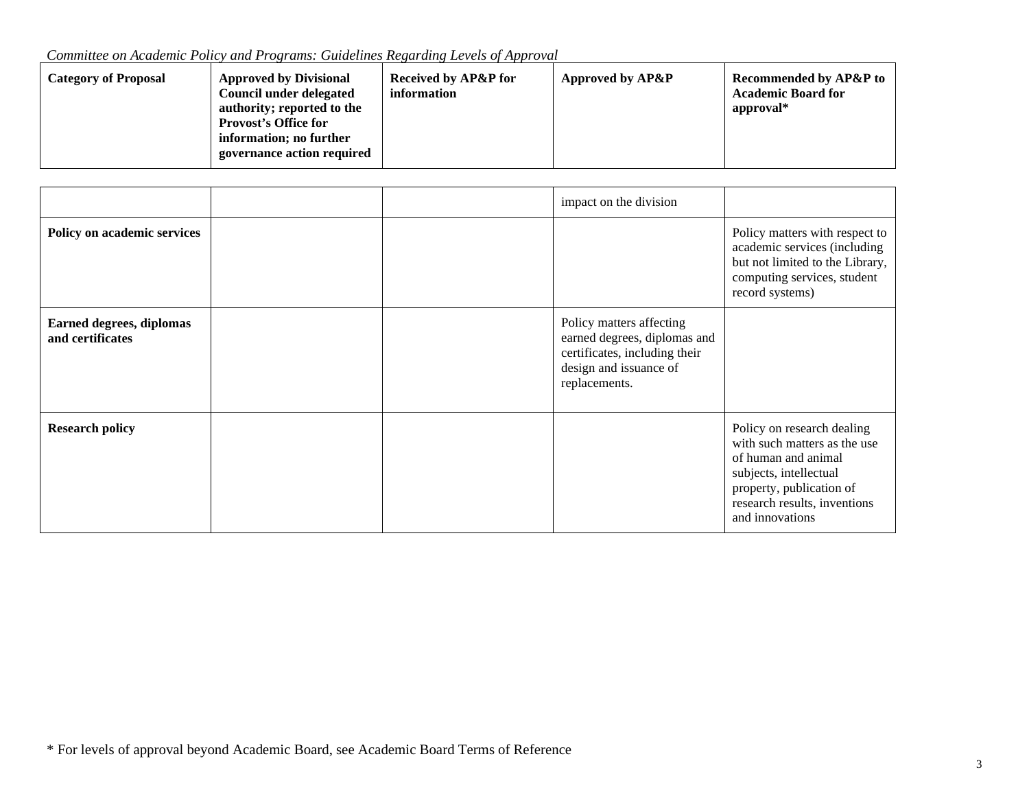*Committee on Academic Policy and Programs: Guidelines Regarding Levels of Approval*

| <b>Category of Proposal</b> | <b>Approved by Divisional</b><br>Council under delegated<br>authority; reported to the<br><b>Provost's Office for</b><br>information; no further<br>governance action required | <b>Received by AP&amp;P for</b><br>information | Approved by AP&P | <b>Recommended by AP&amp;P to</b><br><b>Academic Board for</b><br>approval* |
|-----------------------------|--------------------------------------------------------------------------------------------------------------------------------------------------------------------------------|------------------------------------------------|------------------|-----------------------------------------------------------------------------|
|-----------------------------|--------------------------------------------------------------------------------------------------------------------------------------------------------------------------------|------------------------------------------------|------------------|-----------------------------------------------------------------------------|

|                                                     |  | impact on the division                                                                                                               |                                                                                                                                                                                            |
|-----------------------------------------------------|--|--------------------------------------------------------------------------------------------------------------------------------------|--------------------------------------------------------------------------------------------------------------------------------------------------------------------------------------------|
| Policy on academic services                         |  |                                                                                                                                      | Policy matters with respect to<br>academic services (including<br>but not limited to the Library,<br>computing services, student<br>record systems)                                        |
| <b>Earned degrees, diplomas</b><br>and certificates |  | Policy matters affecting<br>earned degrees, diplomas and<br>certificates, including their<br>design and issuance of<br>replacements. |                                                                                                                                                                                            |
| <b>Research policy</b>                              |  |                                                                                                                                      | Policy on research dealing<br>with such matters as the use<br>of human and animal<br>subjects, intellectual<br>property, publication of<br>research results, inventions<br>and innovations |